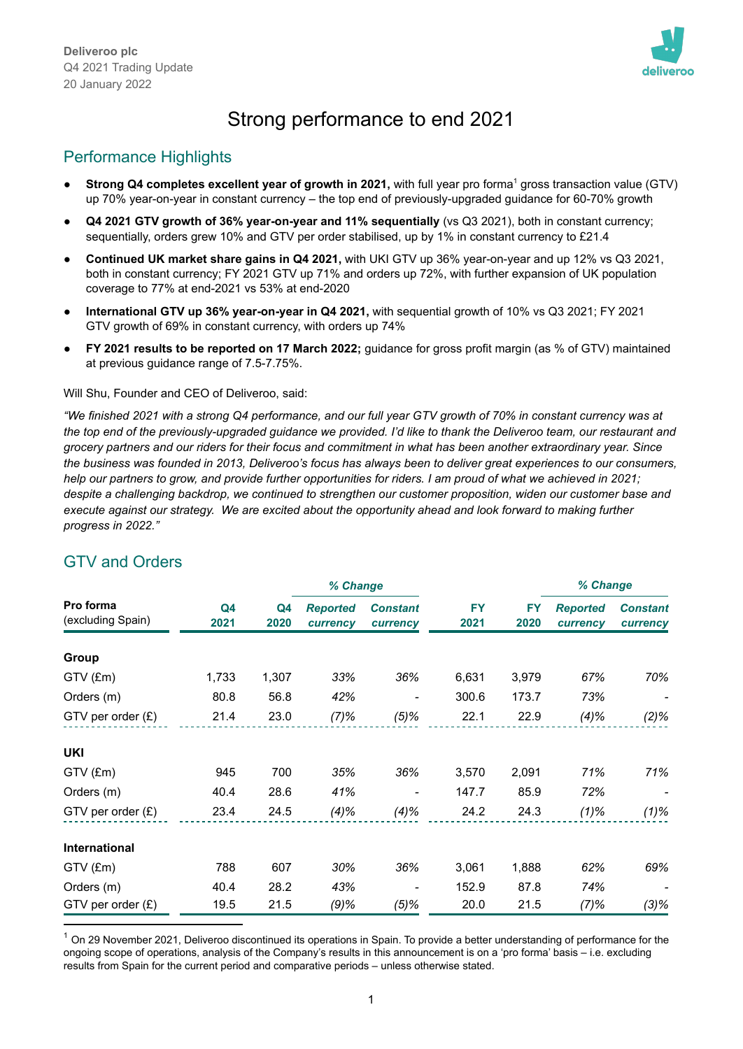

# Strong performance to end 2021

# Performance Highlights

- **Strong Q4 completes excellent year of growth in 2021,** with full year pro forma <sup>1</sup> gross transaction value (GTV) up 70% year-on-year in constant currency – the top end of previously-upgraded guidance for 60-70% growth
- **Q4 2021 GTV growth of 36% year-on-year and 11% sequentially** (vs Q3 2021), both in constant currency; sequentially, orders grew 10% and GTV per order stabilised, up by 1% in constant currency to £21.4
- **Continued UK market share gains in Q4 2021,** with UKI GTV up 36% year-on-year and up 12% vs Q3 2021, both in constant currency; FY 2021 GTV up 71% and orders up 72%, with further expansion of UK population coverage to 77% at end-2021 vs 53% at end-2020
- **International GTV up 36% year-on-year in Q4 2021,** with sequential growth of 10% vs Q3 2021; FY 2021 GTV growth of 69% in constant currency, with orders up 74%
- **FY 2021 results to be reported on 17 March 2022;** guidance for gross profit margin (as % of GTV) maintained at previous guidance range of 7.5-7.75%.

Will Shu, Founder and CEO of Deliveroo, said:

"We finished 2021 with a strong Q4 performance, and our full year GTV growth of 70% in constant currency was at the top end of the previously-upgraded guidance we provided. I'd like to thank the Deliveroo team, our restaurant and grocery partners and our riders for their focus and commitment in what has been another extraordinary year. Since the business was founded in 2013, Deliveroo's focus has always been to deliver great experiences to our consumers, help our partners to grow, and provide further opportunities for riders. I am proud of what we achieved in 2021; *despite a challenging backdrop, we continued to strengthen our customer proposition, widen our customer base and* execute against our strategy. We are excited about the opportunity ahead and look forward to making further *progress in 2022."*

|                                |            | % Change   |                             |                             |                   |                   | % Change                    |                             |
|--------------------------------|------------|------------|-----------------------------|-----------------------------|-------------------|-------------------|-----------------------------|-----------------------------|
| Pro forma<br>(excluding Spain) | Q4<br>2021 | Q4<br>2020 | <b>Reported</b><br>currency | <b>Constant</b><br>currency | <b>FY</b><br>2021 | <b>FY</b><br>2020 | <b>Reported</b><br>currency | <b>Constant</b><br>currency |
| Group                          |            |            |                             |                             |                   |                   |                             |                             |
| $GTV$ (£m)                     | 1,733      | 1,307      | 33%                         | 36%                         | 6,631             | 3,979             | 67%                         | 70%                         |
| Orders (m)                     | 80.8       | 56.8       | 42%                         | $\overline{\phantom{a}}$    | 300.6             | 173.7             | 73%                         |                             |
| GTV per order (£)              | 21.4       | 23.0       | (7)%                        | $(5)\%$                     | 22.1              | 22.9              | (4)%                        | $(2)\%$                     |
| <b>UKI</b>                     |            |            |                             |                             |                   |                   |                             |                             |
| GTV (£m)                       | 945        | 700        | 35%                         | 36%                         | 3,570             | 2,091             | 71%                         | 71%                         |
| Orders (m)                     | 40.4       | 28.6       | 41%                         |                             | 147.7             | 85.9              | 72%                         |                             |
| GTV per order $(E)$            | 23.4       | 24.5       | (4)%                        | (4)%                        | 24.2              | 24.3              | $(1)\%$                     | $(1)\%$                     |
| <b>International</b>           |            |            |                             |                             |                   |                   |                             |                             |
| $GTV$ (£m)                     | 788        | 607        | 30%                         | 36%                         | 3,061             | 1,888             | 62%                         | 69%                         |
| Orders (m)                     | 40.4       | 28.2       | 43%                         | -                           | 152.9             | 87.8              | 74%                         |                             |
| $GTV$ per order $(E)$          | 19.5       | 21.5       | (9)%                        | $(5)\%$                     | 20.0              | 21.5              | (7)%                        | $(3)\%$                     |

# GTV and Orders

 $1$  On 29 November 2021, Deliveroo discontinued its operations in Spain. To provide a better understanding of performance for the ongoing scope of operations, analysis of the Company's results in this announcement is on a 'pro forma' basis – i.e. excluding results from Spain for the current period and comparative periods – unless otherwise stated.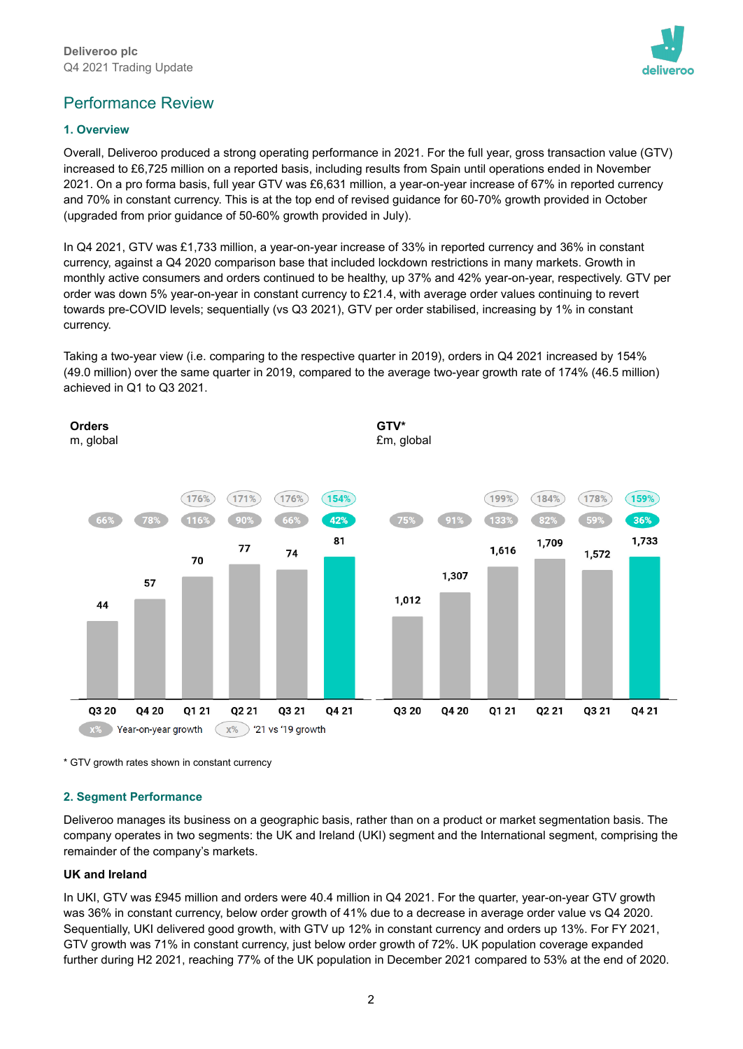

# Performance Review

## **1. Overview**

Overall, Deliveroo produced a strong operating performance in 2021. For the full year, gross transaction value (GTV) increased to £6,725 million on a reported basis, including results from Spain until operations ended in November 2021. On a pro forma basis, full year GTV was £6,631 million, a year-on-year increase of 67% in reported currency and 70% in constant currency. This is at the top end of revised guidance for 60-70% growth provided in October (upgraded from prior guidance of 50-60% growth provided in July).

In Q4 2021, GTV was £1,733 million, a year-on-year increase of 33% in reported currency and 36% in constant currency, against a Q4 2020 comparison base that included lockdown restrictions in many markets. Growth in monthly active consumers and orders continued to be healthy, up 37% and 42% year-on-year, respectively. GTV per order was down 5% year-on-year in constant currency to £21.4, with average order values continuing to revert towards pre-COVID levels; sequentially (vs Q3 2021), GTV per order stabilised, increasing by 1% in constant currency.

Taking a two-year view (i.e. comparing to the respective quarter in 2019), orders in Q4 2021 increased by 154% (49.0 million) over the same quarter in 2019, compared to the average two-year growth rate of 174% (46.5 million) achieved in Q1 to Q3 2021.



\* GTV growth rates shown in constant currency

## **2. Segment Performance**

Deliveroo manages its business on a geographic basis, rather than on a product or market segmentation basis. The company operates in two segments: the UK and Ireland (UKI) segment and the International segment, comprising the remainder of the company's markets.

## **UK and Ireland**

In UKI, GTV was £945 million and orders were 40.4 million in Q4 2021. For the quarter, year-on-year GTV growth was 36% in constant currency, below order growth of 41% due to a decrease in average order value vs Q4 2020. Sequentially, UKI delivered good growth, with GTV up 12% in constant currency and orders up 13%. For FY 2021, GTV growth was 71% in constant currency, just below order growth of 72%. UK population coverage expanded further during H2 2021, reaching 77% of the UK population in December 2021 compared to 53% at the end of 2020.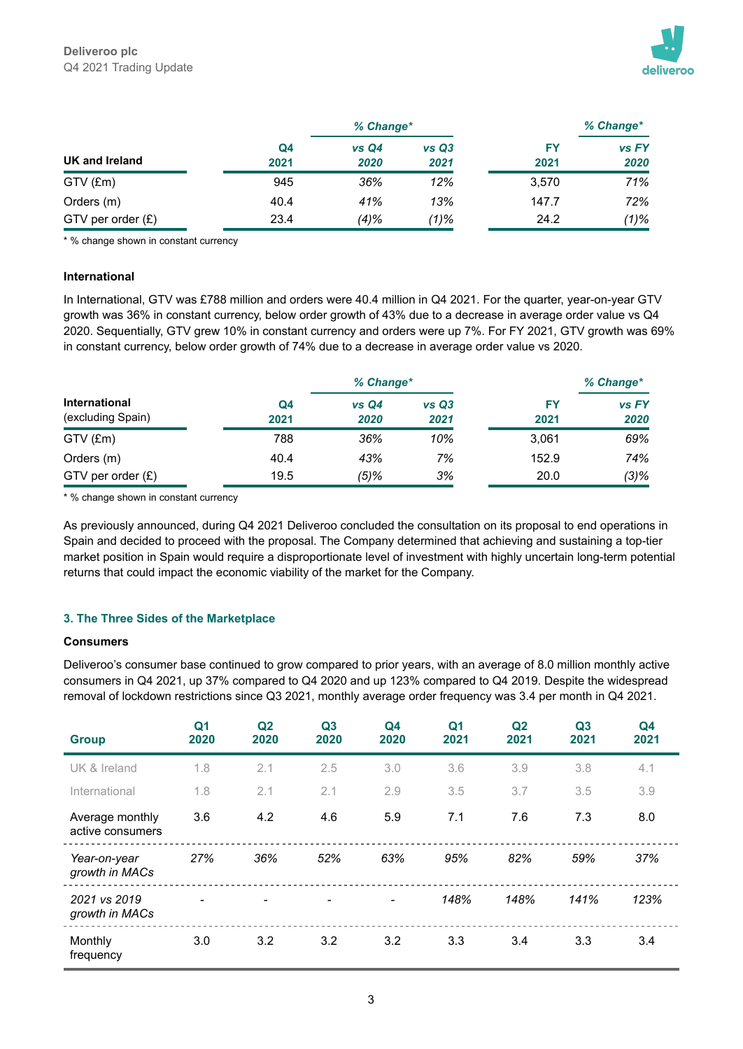

|                     |            | % Change*     |               |            | % Change*     |  |
|---------------------|------------|---------------|---------------|------------|---------------|--|
| UK and Ireland      | Q4<br>2021 | vs Q4<br>2020 | vs Q3<br>2021 | FY<br>2021 | vs FY<br>2020 |  |
| GTV (£m)            | 945        | 36%           | 12%           | 3.570      | 71%           |  |
| Orders (m)          | 40.4       | 41%           | 13%           | 147.7      | 72%           |  |
| GTV per order $(E)$ | 23.4       | $(4)\%$       | $(1)\%$       | 24.2       | $(1)\%$       |  |

\* % change shown in constant currency

#### **International**

In International, GTV was £788 million and orders were 40.4 million in Q4 2021. For the quarter, year-on-year GTV growth was 36% in constant currency, below order growth of 43% due to a decrease in average order value vs Q4 2020. Sequentially, GTV grew 10% in constant currency and orders were up 7%. For FY 2021, GTV growth was 69% in constant currency, below order growth of 74% due to a decrease in average order value vs 2020.

|                                           |                        | % Change*    |               |            | % Change*     |
|-------------------------------------------|------------------------|--------------|---------------|------------|---------------|
| <b>International</b><br>(excluding Spain) | Q <sub>4</sub><br>2021 | vsQ4<br>2020 | vs Q3<br>2021 | FΥ<br>2021 | vs FY<br>2020 |
| GTV (£m)                                  | 788                    | 36%          | 10%           | 3.061      | 69%           |
| Orders (m)                                | 40.4                   | 43%          | 7%            | 152.9      | 74%           |
| GTV per order $(E)$                       | 19.5                   | $(5)\%$      | 3%            | 20.0       | $(3)\%$       |

\* % change shown in constant currency

As previously announced, during Q4 2021 Deliveroo concluded the consultation on its proposal to end operations in Spain and decided to proceed with the proposal. The Company determined that achieving and sustaining a top-tier market position in Spain would require a disproportionate level of investment with highly uncertain long-term potential returns that could impact the economic viability of the market for the Company.

#### **3. The Three Sides of the Marketplace**

#### **Consumers**

Deliveroo's consumer base continued to grow compared to prior years, with an average of 8.0 million monthly active consumers in Q4 2021, up 37% compared to Q4 2020 and up 123% compared to Q4 2019. Despite the widespread removal of lockdown restrictions since Q3 2021, monthly average order frequency was 3.4 per month in Q4 2021.

| <b>Group</b>                        | Q <sub>1</sub><br>2020 | Q <sub>2</sub><br>2020 | Q <sub>3</sub><br>2020 | Q <sub>4</sub><br>2020 | Q <sub>1</sub><br>2021 | Q <sub>2</sub><br>2021 | Q3<br>2021 | Q <sub>4</sub><br>2021 |
|-------------------------------------|------------------------|------------------------|------------------------|------------------------|------------------------|------------------------|------------|------------------------|
| UK & Ireland                        | 1.8                    | 2.1                    | 2.5                    | 3.0                    | 3.6                    | 3.9                    | 3.8        | 4.1                    |
| International                       | 1.8                    | 2.1                    | 2.1                    | 2.9                    | 3.5                    | 3.7                    | 3.5        | 3.9                    |
| Average monthly<br>active consumers | 3.6                    | 4.2                    | 4.6                    | 5.9                    | 7.1                    | 7.6                    | 7.3        | 8.0                    |
| Year-on-year<br>growth in MACs      | 27%                    | 36%                    | 52%                    | 63%                    | 95%                    | 82%                    | 59%        | 37%                    |
| 2021 vs 2019<br>growth in MACs      |                        |                        |                        |                        | 148%                   | 148%                   | 141%       | 123%                   |
| Monthly<br>frequency                | 3.0                    | 3.2                    | 3.2                    | 3.2                    | 3.3                    | 3.4                    | 3.3        | 3.4                    |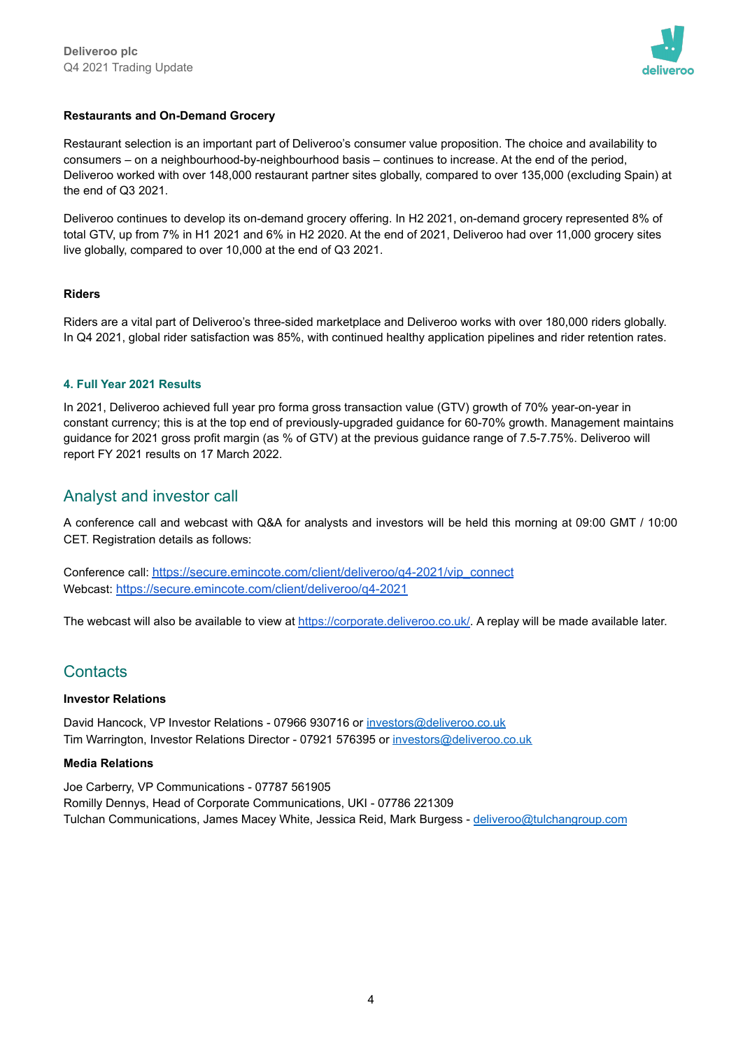

## **Restaurants and On-Demand Grocery**

Restaurant selection is an important part of Deliveroo's consumer value proposition. The choice and availability to consumers – on a neighbourhood-by-neighbourhood basis – continues to increase. At the end of the period, Deliveroo worked with over 148,000 restaurant partner sites globally, compared to over 135,000 (excluding Spain) at the end of Q3 2021.

Deliveroo continues to develop its on-demand grocery offering. In H2 2021, on-demand grocery represented 8% of total GTV, up from 7% in H1 2021 and 6% in H2 2020. At the end of 2021, Deliveroo had over 11,000 grocery sites live globally, compared to over 10,000 at the end of Q3 2021.

## **Riders**

Riders are a vital part of Deliveroo's three-sided marketplace and Deliveroo works with over 180,000 riders globally. In Q4 2021, global rider satisfaction was 85%, with continued healthy application pipelines and rider retention rates.

### **4. Full Year 2021 Results**

In 2021, Deliveroo achieved full year pro forma gross transaction value (GTV) growth of 70% year-on-year in constant currency; this is at the top end of previously-upgraded guidance for 60-70% growth. Management maintains guidance for 2021 gross profit margin (as % of GTV) at the previous guidance range of 7.5-7.75%. Deliveroo will report FY 2021 results on 17 March 2022.

## Analyst and investor call

A conference call and webcast with Q&A for analysts and investors will be held this morning at 09:00 GMT / 10:00 CET. Registration details as follows:

Conference call: [https://secure.emincote.com/client/deliveroo/q4-2021/vip\\_connect](https://secure.emincote.com/client/deliveroo/q4-2021/vip_connect) Webcast: <https://secure.emincote.com/client/deliveroo/q4-2021>

The webcast will also be available to view at <https://corporate.deliveroo.co.uk/>. A replay will be made available later.

# **Contacts**

#### **Investor Relations**

David Hancock, VP Investor Relations - 07966 930716 or [investors@deliveroo.co.uk](mailto:investors@deliveroo.co.uk) Tim Warrington, Investor Relations Director - 07921 576395 or [investors@deliveroo.co.uk](mailto:investors@deliveroo.co.uk)

#### **Media Relations**

Joe Carberry, VP Communications - 07787 561905 Romilly Dennys, Head of Corporate Communications, UKI - 07786 221309 Tulchan Communications, James Macey White, Jessica Reid, Mark Burgess - [deliveroo@tulchangroup.com](mailto:deliveroo@tulchangroup.com)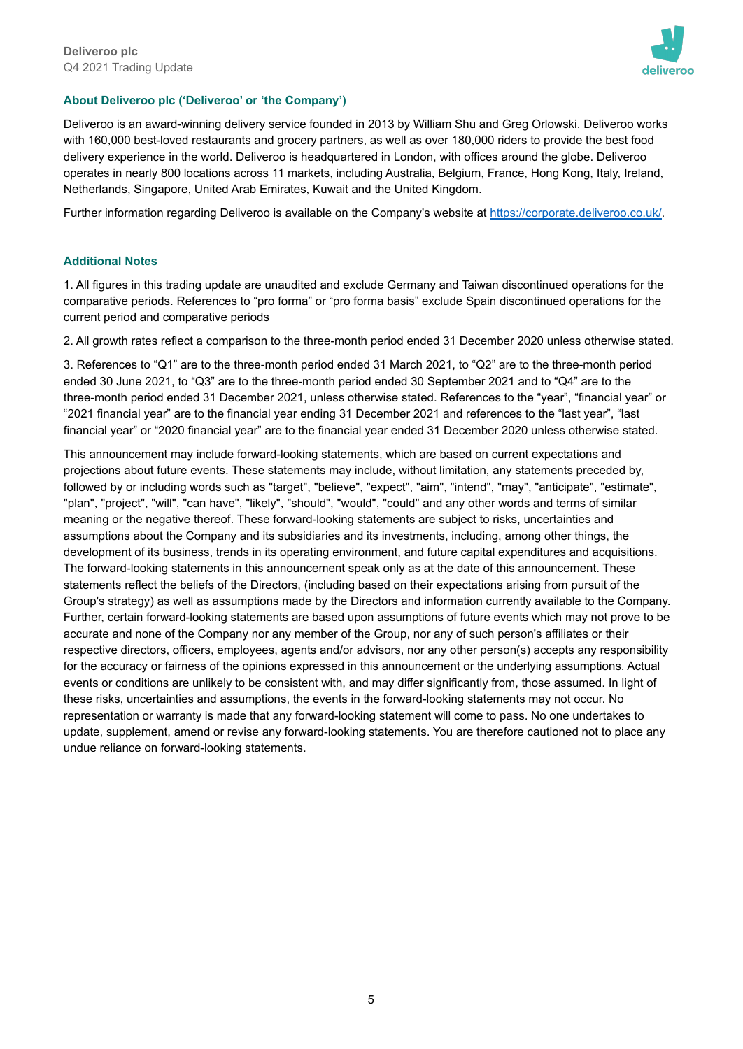

## **About Deliveroo plc ('Deliveroo' or 'the Company')**

Deliveroo is an award-winning delivery service founded in 2013 by William Shu and Greg Orlowski. Deliveroo works with 160,000 best-loved restaurants and grocery partners, as well as over 180,000 riders to provide the best food delivery experience in the world. Deliveroo is headquartered in London, with offices around the globe. Deliveroo operates in nearly 800 locations across 11 markets, including Australia, Belgium, France, Hong Kong, Italy, Ireland, Netherlands, Singapore, United Arab Emirates, Kuwait and the United Kingdom.

Further information regarding Deliveroo is available on the Company's website at [https://corporate.deliveroo.co.uk/.](https://corporate.deliveroo.co.uk/)

#### **Additional Notes**

1. All figures in this trading update are unaudited and exclude Germany and Taiwan discontinued operations for the comparative periods. References to "pro forma" or "pro forma basis" exclude Spain discontinued operations for the current period and comparative periods

2. All growth rates reflect a comparison to the three-month period ended 31 December 2020 unless otherwise stated.

3. References to "Q1" are to the three-month period ended 31 March 2021, to "Q2" are to the three-month period ended 30 June 2021, to "Q3" are to the three-month period ended 30 September 2021 and to "Q4" are to the three-month period ended 31 December 2021, unless otherwise stated. References to the "year", "financial year" or "2021 financial year" are to the financial year ending 31 December 2021 and references to the "last year", "last financial year" or "2020 financial year" are to the financial year ended 31 December 2020 unless otherwise stated.

This announcement may include forward-looking statements, which are based on current expectations and projections about future events. These statements may include, without limitation, any statements preceded by, followed by or including words such as "target", "believe", "expect", "aim", "intend", "may", "anticipate", "estimate", "plan", "project", "will", "can have", "likely", "should", "would", "could" and any other words and terms of similar meaning or the negative thereof. These forward-looking statements are subject to risks, uncertainties and assumptions about the Company and its subsidiaries and its investments, including, among other things, the development of its business, trends in its operating environment, and future capital expenditures and acquisitions. The forward-looking statements in this announcement speak only as at the date of this announcement. These statements reflect the beliefs of the Directors, (including based on their expectations arising from pursuit of the Group's strategy) as well as assumptions made by the Directors and information currently available to the Company. Further, certain forward-looking statements are based upon assumptions of future events which may not prove to be accurate and none of the Company nor any member of the Group, nor any of such person's affiliates or their respective directors, officers, employees, agents and/or advisors, nor any other person(s) accepts any responsibility for the accuracy or fairness of the opinions expressed in this announcement or the underlying assumptions. Actual events or conditions are unlikely to be consistent with, and may differ significantly from, those assumed. In light of these risks, uncertainties and assumptions, the events in the forward-looking statements may not occur. No representation or warranty is made that any forward-looking statement will come to pass. No one undertakes to update, supplement, amend or revise any forward-looking statements. You are therefore cautioned not to place any undue reliance on forward-looking statements.